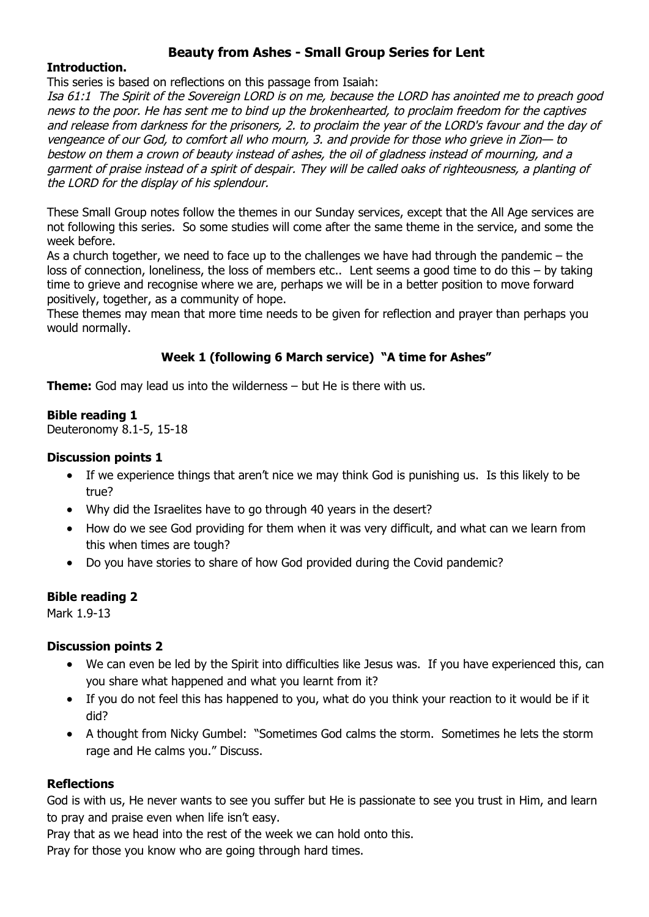# **Beauty from Ashes - Small Group Series for Lent**

#### **Introduction.**

This series is based on reflections on this passage from Isaiah:

Isa 61:1 The Spirit of the Sovereign LORD is on me, because the LORD has anointed me to preach good news to the poor. He has sent me to bind up the brokenhearted, to proclaim freedom for the captives and release from darkness for the prisoners, 2. to proclaim the year of the LORD's favour and the day of vengeance of our God, to comfort all who mourn, 3. and provide for those who grieve in Zion— to bestow on them a crown of beauty instead of ashes, the oil of gladness instead of mourning, and a garment of praise instead of a spirit of despair. They will be called oaks of righteousness, a planting of the LORD for the display of his splendour.

These Small Group notes follow the themes in our Sunday services, except that the All Age services are not following this series. So some studies will come after the same theme in the service, and some the week before.

As a church together, we need to face up to the challenges we have had through the pandemic – the loss of connection, loneliness, the loss of members etc.. Lent seems a good time to do this – by taking time to grieve and recognise where we are, perhaps we will be in a better position to move forward positively, together, as a community of hope.

These themes may mean that more time needs to be given for reflection and prayer than perhaps you would normally.

# **Week 1 (following 6 March service) "A time for Ashes"**

**Theme:** God may lead us into the wilderness – but He is there with us.

#### **Bible reading 1**

Deuteronomy 8.1-5, 15-18

#### **Discussion points 1**

- If we experience things that aren't nice we may think God is punishing us. Is this likely to be true?
- Why did the Israelites have to go through 40 years in the desert?
- How do we see God providing for them when it was very difficult, and what can we learn from this when times are tough?
- Do you have stories to share of how God provided during the Covid pandemic?

#### **Bible reading 2**

Mark 1.9-13

#### **Discussion points 2**

- We can even be led by the Spirit into difficulties like Jesus was. If you have experienced this, can you share what happened and what you learnt from it?
- If you do not feel this has happened to you, what do you think your reaction to it would be if it did?
- A thought from Nicky Gumbel: "Sometimes God calms the storm. Sometimes he lets the storm rage and He calms you." Discuss.

#### **Reflections**

God is with us, He never wants to see you suffer but He is passionate to see you trust in Him, and learn to pray and praise even when life isn't easy.

Pray that as we head into the rest of the week we can hold onto this.

Pray for those you know who are going through hard times.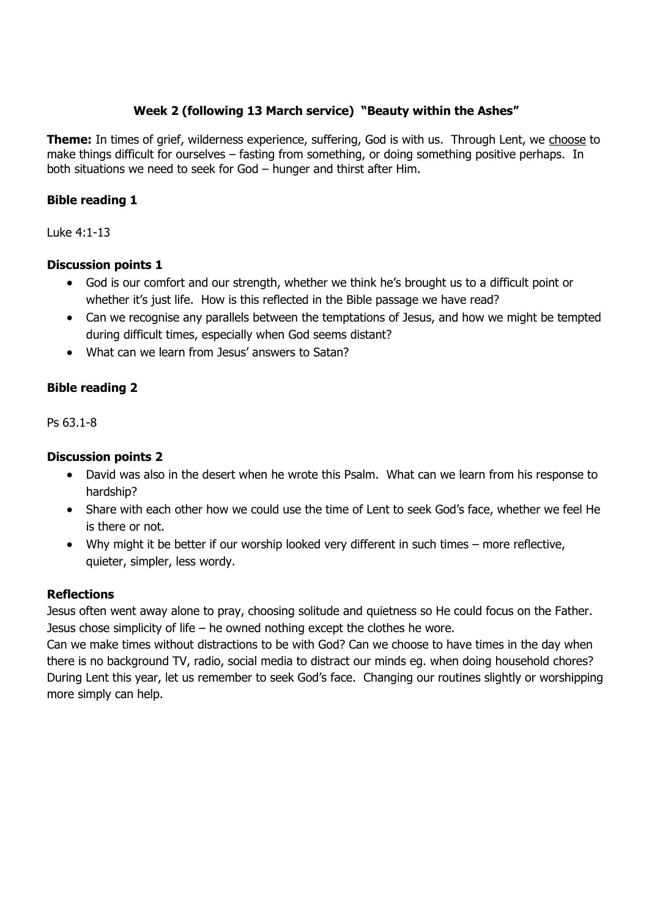# **Week 2 (following 13 March service) "Beauty within the Ashes"**

**Theme:** In times of grief, wilderness experience, suffering, God is with us. Through Lent, we choose to make things difficult for ourselves – fasting from something, or doing something positive perhaps. In both situations we need to seek for God – hunger and thirst after Him.

## **Bible reading 1**

Luke 4:1-13

# **Discussion points 1**

- God is our comfort and our strength, whether we think he's brought us to a difficult point or whether it's just life. How is this reflected in the Bible passage we have read?
- Can we recognise any parallels between the temptations of Jesus, and how we might be tempted during difficult times, especially when God seems distant?
- What can we learn from Jesus' answers to Satan?

#### **Bible reading 2**

Ps 63.1-8

# **Discussion points 2**

- David was also in the desert when he wrote this Psalm. What can we learn from his response to hardship?
- Share with each other how we could use the time of Lent to seek God's face, whether we feel He is there or not.
- Why might it be better if our worship looked very different in such times more reflective, quieter, simpler, less wordy.

#### **Reflections**

Jesus often went away alone to pray, choosing solitude and quietness so He could focus on the Father. Jesus chose simplicity of life – he owned nothing except the clothes he wore.

Can we make times without distractions to be with God? Can we choose to have times in the day when there is no background TV, radio, social media to distract our minds eg. when doing household chores? During Lent this year, let us remember to seek God's face. Changing our routines slightly or worshipping more simply can help.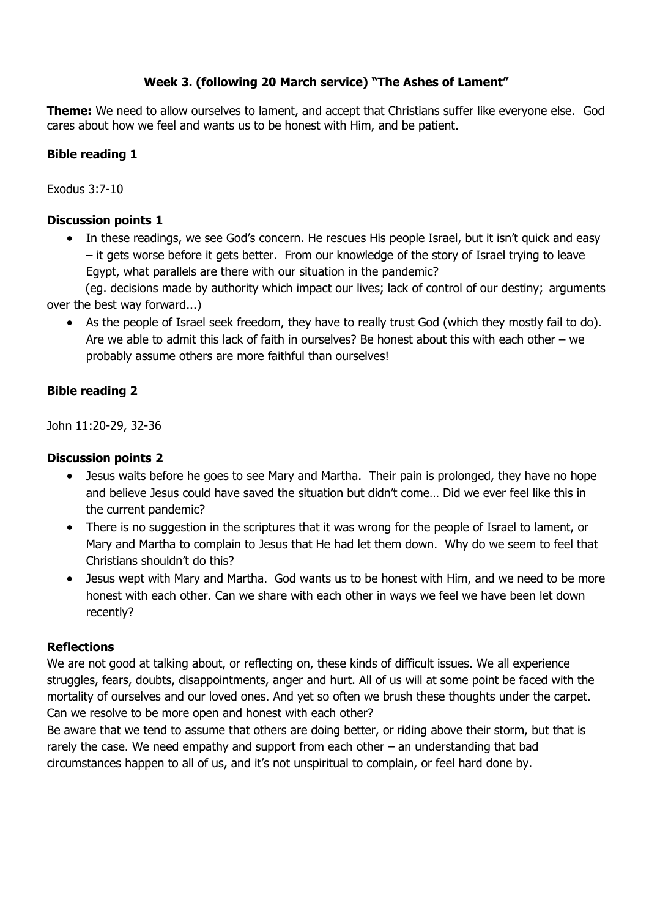# **Week 3. (following 20 March service) "The Ashes of Lament"**

**Theme:** We need to allow ourselves to lament, and accept that Christians suffer like everyone else. God cares about how we feel and wants us to be honest with Him, and be patient.

# **Bible reading 1**

Exodus 3:7-10

## **Discussion points 1**

• In these readings, we see God's concern. He rescues His people Israel, but it isn't quick and easy – it gets worse before it gets better. From our knowledge of the story of Israel trying to leave Egypt, what parallels are there with our situation in the pandemic?

(eg. decisions made by authority which impact our lives; lack of control of our destiny; arguments over the best way forward...)

 As the people of Israel seek freedom, they have to really trust God (which they mostly fail to do). Are we able to admit this lack of faith in ourselves? Be honest about this with each other – we probably assume others are more faithful than ourselves!

# **Bible reading 2**

John 11:20-29, 32-36

#### **Discussion points 2**

- Jesus waits before he goes to see Mary and Martha. Their pain is prolonged, they have no hope and believe Jesus could have saved the situation but didn't come… Did we ever feel like this in the current pandemic?
- There is no suggestion in the scriptures that it was wrong for the people of Israel to lament, or Mary and Martha to complain to Jesus that He had let them down. Why do we seem to feel that Christians shouldn't do this?
- Jesus wept with Mary and Martha. God wants us to be honest with Him, and we need to be more honest with each other. Can we share with each other in ways we feel we have been let down recently?

#### **Reflections**

We are not good at talking about, or reflecting on, these kinds of difficult issues. We all experience struggles, fears, doubts, disappointments, anger and hurt. All of us will at some point be faced with the mortality of ourselves and our loved ones. And yet so often we brush these thoughts under the carpet. Can we resolve to be more open and honest with each other?

Be aware that we tend to assume that others are doing better, or riding above their storm, but that is rarely the case. We need empathy and support from each other – an understanding that bad circumstances happen to all of us, and it's not unspiritual to complain, or feel hard done by.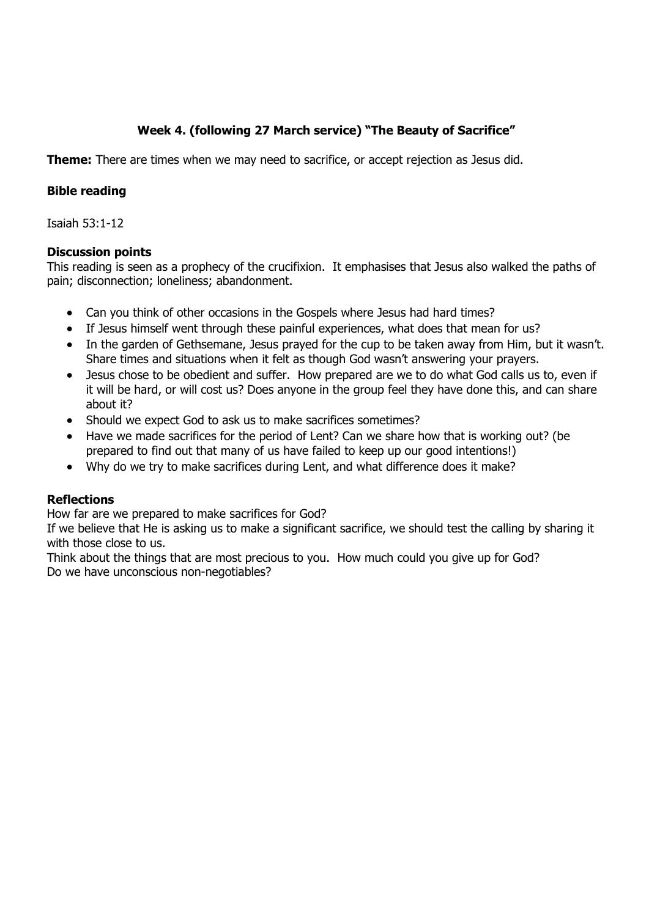# **Week 4. (following 27 March service) "The Beauty of Sacrifice"**

**Theme:** There are times when we may need to sacrifice, or accept rejection as Jesus did.

## **Bible reading**

Isaiah 53:1-12

#### **Discussion points**

This reading is seen as a prophecy of the crucifixion. It emphasises that Jesus also walked the paths of pain; disconnection; loneliness; abandonment.

- Can you think of other occasions in the Gospels where Jesus had hard times?
- If Jesus himself went through these painful experiences, what does that mean for us?
- In the garden of Gethsemane, Jesus prayed for the cup to be taken away from Him, but it wasn't. Share times and situations when it felt as though God wasn't answering your prayers.
- Jesus chose to be obedient and suffer. How prepared are we to do what God calls us to, even if it will be hard, or will cost us? Does anyone in the group feel they have done this, and can share about it?
- Should we expect God to ask us to make sacrifices sometimes?
- Have we made sacrifices for the period of Lent? Can we share how that is working out? (be prepared to find out that many of us have failed to keep up our good intentions!)
- Why do we try to make sacrifices during Lent, and what difference does it make?

#### **Reflections**

How far are we prepared to make sacrifices for God?

If we believe that He is asking us to make a significant sacrifice, we should test the calling by sharing it with those close to us.

Think about the things that are most precious to you. How much could you give up for God? Do we have unconscious non-negotiables?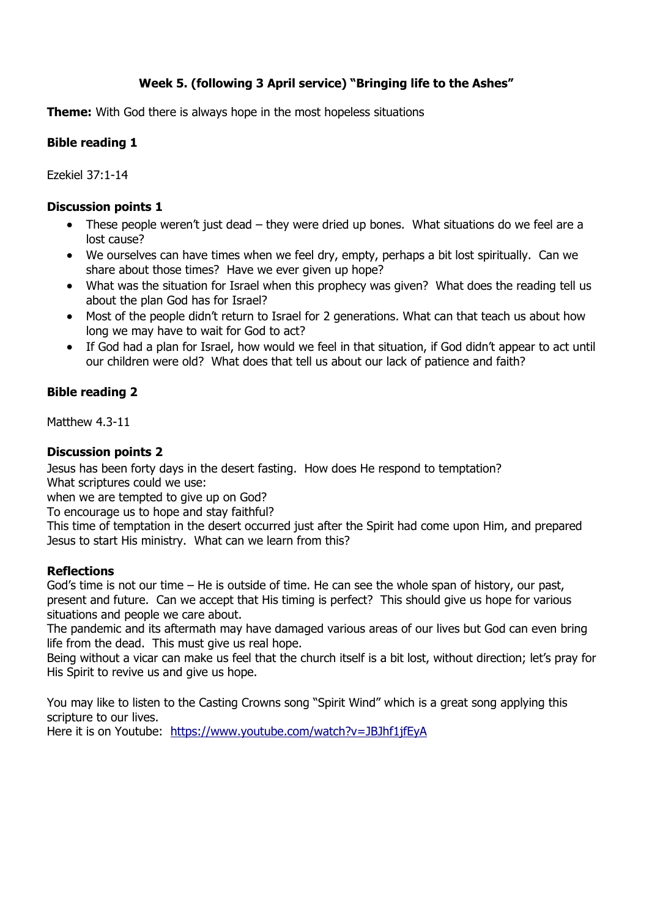# **Week 5. (following 3 April service) "Bringing life to the Ashes"**

**Theme:** With God there is always hope in the most hopeless situations

#### **Bible reading 1**

Ezekiel 37:1-14

#### **Discussion points 1**

- These people weren't just dead they were dried up bones. What situations do we feel are a lost cause?
- We ourselves can have times when we feel dry, empty, perhaps a bit lost spiritually. Can we share about those times? Have we ever given up hope?
- What was the situation for Israel when this prophecy was given? What does the reading tell us about the plan God has for Israel?
- Most of the people didn't return to Israel for 2 generations. What can that teach us about how long we may have to wait for God to act?
- If God had a plan for Israel, how would we feel in that situation, if God didn't appear to act until our children were old? What does that tell us about our lack of patience and faith?

# **Bible reading 2**

Matthew 4.3-11

#### **Discussion points 2**

Jesus has been forty days in the desert fasting. How does He respond to temptation? What scriptures could we use:

when we are tempted to give up on God?

To encourage us to hope and stay faithful?

This time of temptation in the desert occurred just after the Spirit had come upon Him, and prepared Jesus to start His ministry. What can we learn from this?

#### **Reflections**

God's time is not our time – He is outside of time. He can see the whole span of history, our past, present and future. Can we accept that His timing is perfect? This should give us hope for various situations and people we care about.

The pandemic and its aftermath may have damaged various areas of our lives but God can even bring life from the dead. This must give us real hope.

Being without a vicar can make us feel that the church itself is a bit lost, without direction; let's pray for His Spirit to revive us and give us hope.

You may like to listen to the Casting Crowns song "Spirit Wind" which is a great song applying this scripture to our lives.

Here it is on Youtube: https://www.youtube.com/watch?v=JBJhf1jfEyA